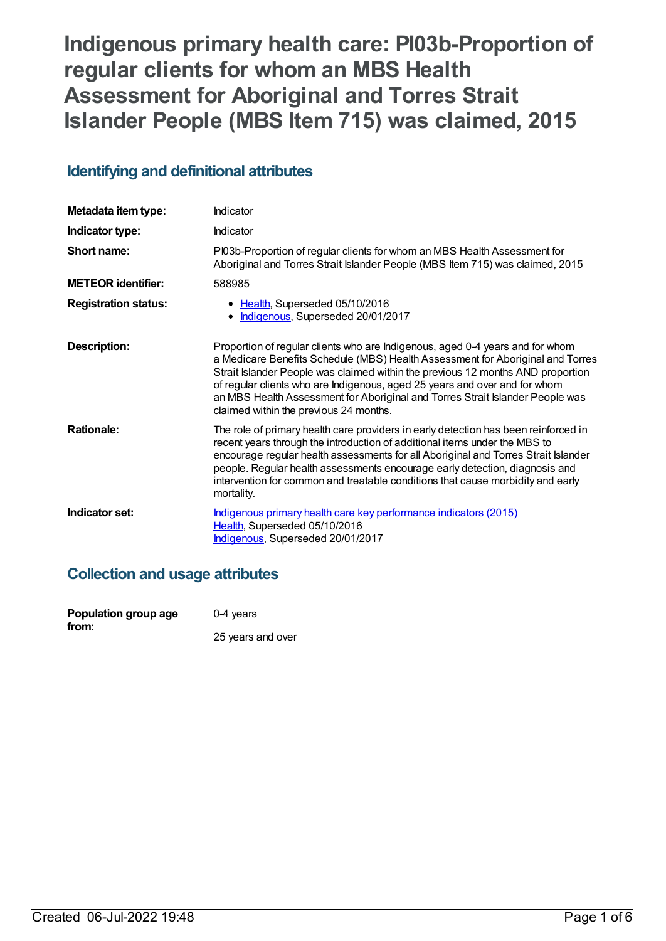# **Indigenous primary health care: PI03b-Proportion of regular clients for whom an MBS Health Assessment for Aboriginal and Torres Strait Islander People (MBS Item 715) was claimed, 2015**

# **Identifying and definitional attributes**

| Metadata item type:         | Indicator                                                                                                                                                                                                                                                                                                                                                                                                                                                   |
|-----------------------------|-------------------------------------------------------------------------------------------------------------------------------------------------------------------------------------------------------------------------------------------------------------------------------------------------------------------------------------------------------------------------------------------------------------------------------------------------------------|
| Indicator type:             | Indicator                                                                                                                                                                                                                                                                                                                                                                                                                                                   |
| Short name:                 | PI03b-Proportion of regular clients for whom an MBS Health Assessment for<br>Aboriginal and Torres Strait Islander People (MBS Item 715) was claimed, 2015                                                                                                                                                                                                                                                                                                  |
| <b>METEOR identifier:</b>   | 588985                                                                                                                                                                                                                                                                                                                                                                                                                                                      |
| <b>Registration status:</b> | • Health, Superseded 05/10/2016<br>• Indigenous, Superseded 20/01/2017                                                                                                                                                                                                                                                                                                                                                                                      |
| Description:                | Proportion of regular clients who are Indigenous, aged 0-4 years and for whom<br>a Medicare Benefits Schedule (MBS) Health Assessment for Aboriginal and Torres<br>Strait Islander People was claimed within the previous 12 months AND proportion<br>of regular clients who are Indigenous, aged 25 years and over and for whom<br>an MBS Health Assessment for Aboriginal and Torres Strait Islander People was<br>claimed within the previous 24 months. |
| <b>Rationale:</b>           | The role of primary health care providers in early detection has been reinforced in<br>recent years through the introduction of additional items under the MBS to<br>encourage regular health assessments for all Aboriginal and Torres Strait Islander<br>people. Regular health assessments encourage early detection, diagnosis and<br>intervention for common and treatable conditions that cause morbidity and early<br>mortality.                     |
| Indicator set:              | Indigenous primary health care key performance indicators (2015)<br>Health, Superseded 05/10/2016<br>Indigenous, Superseded 20/01/2017                                                                                                                                                                                                                                                                                                                      |

# **Collection and usage attributes**

| Population group age | $0-4$ years       |
|----------------------|-------------------|
| from:                | 25 years and over |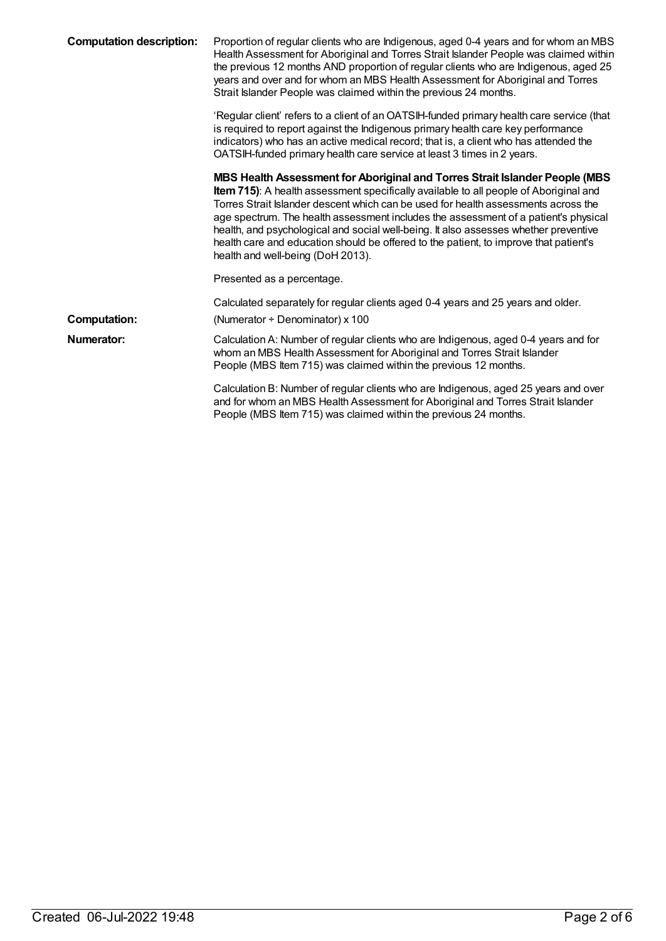| <b>Computation description:</b> | Proportion of regular clients who are Indigenous, aged 0-4 years and for whom an MBS<br>Health Assessment for Aboriginal and Torres Strait Islander People was claimed within<br>the previous 12 months AND proportion of regular clients who are Indigenous, aged 25<br>years and over and for whom an MBS Health Assessment for Aboriginal and Torres<br>Strait Islander People was claimed within the previous 24 months.                                                                                                                                                    |
|---------------------------------|---------------------------------------------------------------------------------------------------------------------------------------------------------------------------------------------------------------------------------------------------------------------------------------------------------------------------------------------------------------------------------------------------------------------------------------------------------------------------------------------------------------------------------------------------------------------------------|
|                                 | 'Regular client' refers to a client of an OATSIH-funded primary health care service (that<br>is required to report against the Indigenous primary health care key performance<br>indicators) who has an active medical record; that is, a client who has attended the<br>OATSIH-funded primary health care service at least 3 times in 2 years.                                                                                                                                                                                                                                 |
|                                 | MBS Health Assessment for Aboriginal and Torres Strait Islander People (MBS<br><b>Item 715)</b> : A health assessment specifically available to all people of Aboriginal and<br>Torres Strait Islander descent which can be used for health assessments across the<br>age spectrum. The health assessment includes the assessment of a patient's physical<br>health, and psychological and social well-being. It also assesses whether preventive<br>health care and education should be offered to the patient, to improve that patient's<br>health and well-being (DoH 2013). |
|                                 | Presented as a percentage.                                                                                                                                                                                                                                                                                                                                                                                                                                                                                                                                                      |
|                                 | Calculated separately for regular clients aged 0-4 years and 25 years and older.                                                                                                                                                                                                                                                                                                                                                                                                                                                                                                |
| <b>Computation:</b>             | (Numerator $\div$ Denominator) x 100                                                                                                                                                                                                                                                                                                                                                                                                                                                                                                                                            |
| Numerator:                      | Calculation A: Number of regular clients who are Indigenous, aged 0-4 years and for<br>whom an MBS Health Assessment for Aboriginal and Torres Strait Islander<br>People (MBS Item 715) was claimed within the previous 12 months.                                                                                                                                                                                                                                                                                                                                              |
|                                 | Calculation B: Number of regular clients who are Indigenous, aged 25 years and over<br>and for whom an MBS Health Assessment for Aboriginal and Torres Strait Islander<br>People (MBS Item 715) was claimed within the previous 24 months.                                                                                                                                                                                                                                                                                                                                      |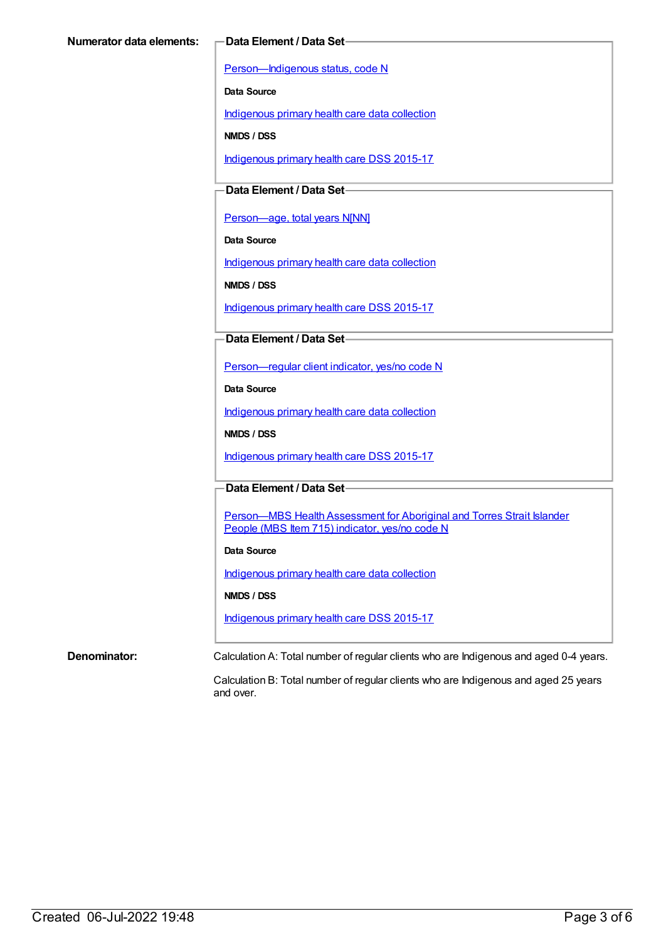[Person—Indigenous](https://meteor.aihw.gov.au/content/291036) status, code N

**Data Source**

[Indigenous](https://meteor.aihw.gov.au/content/430643) primary health care data collection

**NMDS / DSS**

[Indigenous](https://meteor.aihw.gov.au/content/585036) primary health care DSS 2015-17

**Data Element / Data Set**

[Person—age,](https://meteor.aihw.gov.au/content/303794) total years N[NN]

**Data Source**

[Indigenous](https://meteor.aihw.gov.au/content/430643) primary health care data collection

**NMDS / DSS**

[Indigenous](https://meteor.aihw.gov.au/content/585036) primary health care DSS 2015-17

**Data Element / Data Set**

[Person—regular](https://meteor.aihw.gov.au/content/436639) client indicator, yes/no code N

**Data Source**

[Indigenous](https://meteor.aihw.gov.au/content/430643) primary health care data collection

**NMDS / DSS**

[Indigenous](https://meteor.aihw.gov.au/content/585036) primary health care DSS 2015-17

#### **Data Element / Data Set**

Person-MBS Health Assessment for Aboriginal and Torres Strait Islander People (MBS Item 715) indicator, yes/no code N

#### **Data Source**

[Indigenous](https://meteor.aihw.gov.au/content/430643) primary health care data collection

**NMDS / DSS**

[Indigenous](https://meteor.aihw.gov.au/content/585036) primary health care DSS 2015-17

**Denominator:** Calculation A: Total number of regular clients who are Indigenous and aged 0-4 years.

Calculation B: Total number of regular clients who are Indigenous and aged 25 years and over.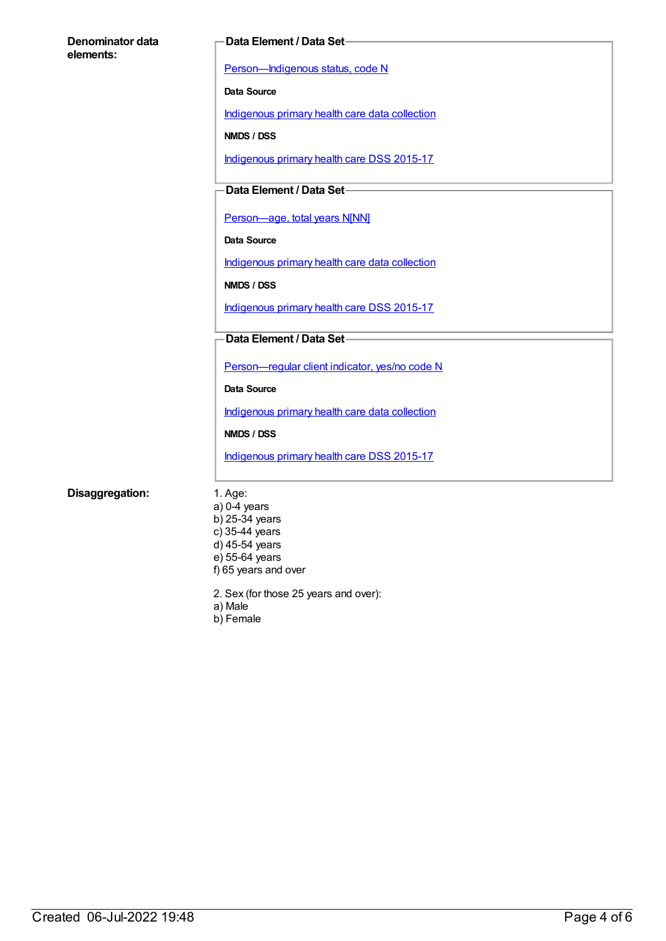| Denominator data<br>elements: |     |
|-------------------------------|-----|
|                               | Рe  |
|                               | Dai |
|                               |     |

#### **Data Element / Data Set**

**Prson—Indigenous status, code N** 

**Data Source**

[Indigenous](https://meteor.aihw.gov.au/content/430643) primary health care data collection

**NMDS / DSS**

[Indigenous](https://meteor.aihw.gov.au/content/585036) primary health care DSS 2015-17

## **Data Element / Data Set**

[Person—age,](https://meteor.aihw.gov.au/content/303794) total years N[NN]

**Data Source**

[Indigenous](https://meteor.aihw.gov.au/content/430643) primary health care data collection

**NMDS / DSS**

[Indigenous](https://meteor.aihw.gov.au/content/585036) primary health care DSS 2015-17

### **Data Element / Data Set**

[Person—regular](https://meteor.aihw.gov.au/content/436639) client indicator, yes/no code N

**Data Source**

[Indigenous](https://meteor.aihw.gov.au/content/430643) primary health care data collection

**NMDS / DSS**

[Indigenous](https://meteor.aihw.gov.au/content/585036) primary health care DSS 2015-17

#### **Disaggregation:** 1. Age:

a) 0-4 years b) 25-34 years c) 35-44 years  $\overrightarrow{d}$ ) 45-54 years e) 55-64 years f) 65 years and over

2. Sex (for those 25 years and over):

a) Male

b) Female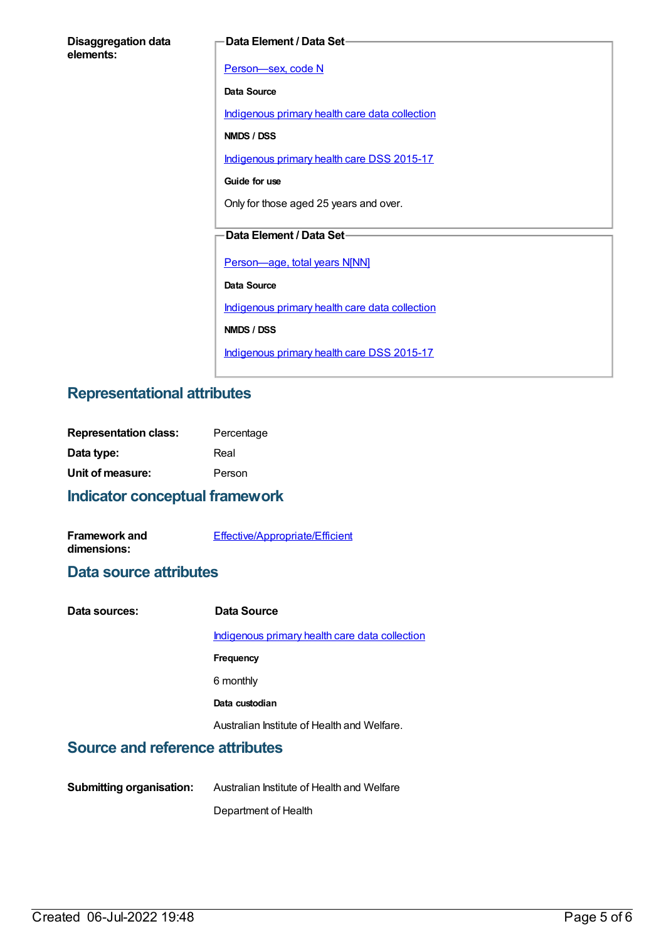| <b>Disaggregation data</b> |  |
|----------------------------|--|
| elements:                  |  |

#### **Data Element / Data Set**

Person-sex, code N **Data Source** [Indigenous](https://meteor.aihw.gov.au/content/430643) primary health care data collection **NMDS / DSS** [Indigenous](https://meteor.aihw.gov.au/content/585036) primary health care DSS 2015-17 **Guide for use** Only for those aged 25 years and over. **Data Element / Data Set** [Person—age,](https://meteor.aihw.gov.au/content/303794) total years N[NN] **Data Source** [Indigenous](https://meteor.aihw.gov.au/content/430643) primary health care data collection **NMDS / DSS** [Indigenous](https://meteor.aihw.gov.au/content/585036) primary health care DSS 2015-17

# **Representational attributes**

| Percentage |
|------------|
| Real       |
| Person     |
|            |

# **Indicator conceptual framework**

| <b>Framework and</b> | <b>Effective/Appropriate/Efficient</b> |
|----------------------|----------------------------------------|
| dimensions:          |                                        |

### **Data source attributes**

| Data sources: | Data Source                                    |
|---------------|------------------------------------------------|
|               | Indigenous primary health care data collection |
|               | Frequency                                      |
|               | 6 monthly                                      |
|               | Data custodian                                 |
|               | Australian Institute of Health and Welfare.    |
|               |                                                |

# **Source and reference attributes**

**Submitting organisation:** Australian Institute of Health and Welfare Department of Health